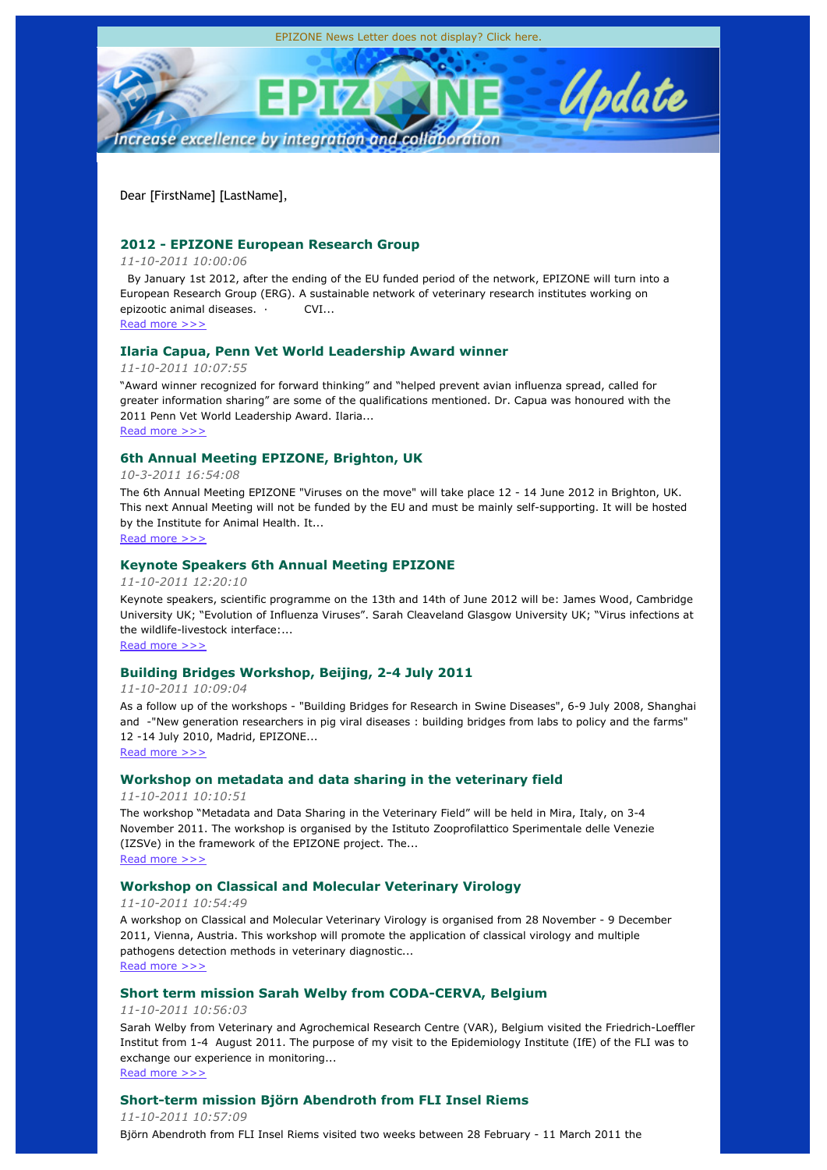

Dear [FirstName] [LastName],

# **2012 - EPIZONE European Research Group**

## *11-10-2011 10:00:06*

 By January 1st 2012, after the ending of the EU funded period of the network, EPIZONE will turn into a European Research Group (ERG). A sustainable network of veterinary research institutes working on epizootic animal diseases. · CVI...

# Read more >>>

## **Ilaria Capua, Penn Vet World Leadership Award winner**

*11-10-2011 10:07:55*

"Award winner recognized for forward thinking" and "helped prevent avian influenza spread, called for greater information sharing" are some of the qualifications mentioned. Dr. Capua was honoured with the 2011 Penn Vet World Leadership Award. Ilaria...

Read more >>>

## **6th Annual Meeting EPIZONE, Brighton, UK**

## *10-3-2011 16:54:08*

The 6th Annual Meeting EPIZONE "Viruses on the move" will take place 12 - 14 June 2012 in Brighton, UK. This next Annual Meeting will not be funded by the EU and must be mainly self-supporting. It will be hosted by the Institute for Animal Health. It... Read more >>>

# **Keynote Speakers 6th Annual Meeting EPIZONE**

*11-10-2011 12:20:10*

Keynote speakers, scientific programme on the 13th and 14th of June 2012 will be: James Wood, Cambridge University UK; "Evolution of Influenza Viruses". Sarah Cleaveland Glasgow University UK; "Virus infections at the wildlife-livestock interface:

Read more >>>

## **Building Bridges Workshop, Beijing, 2-4 July 2011**

*11-10-2011 10:09:04*

As a follow up of the workshops - "Building Bridges for Research in Swine Diseases", 6-9 July 2008, Shanghai and -"New generation researchers in pig viral diseases : building bridges from labs to policy and the farms" 12 -14 July 2010, Madrid, EPIZONE...

Read more >>>

## **Workshop on metadata and data sharing in the veterinary field**

*11-10-2011 10:10:51*

The workshop "Metadata and Data Sharing in the Veterinary Field" will be held in Mira, Italy, on 3-4 November 2011. The workshop is organised by the Istituto Zooprofilattico Sperimentale delle Venezie (IZSVe) in the framework of the EPIZONE project. The... Read more >>>

## **Workshop on Classical and Molecular Veterinary Virology**

*11-10-2011 10:54:49*

A workshop on Classical and Molecular Veterinary Virology is organised from 28 November - 9 December 2011, Vienna, Austria. This workshop will promote the application of classical virology and multiple pathogens detection methods in veterinary diagnostic... Read more >>>

## **Short term mission Sarah Welby from CODA-CERVA, Belgium**

*11-10-2011 10:56:03*

Sarah Welby from Veterinary and Agrochemical Research Centre (VAR), Belgium visited the Friedrich-Loeffler Institut from 1-4 August 2011. The purpose of my visit to the Epidemiology Institute (IfE) of the FLI was to exchange our experience in monitoring...

Read more >>>

## **Short-term mission Björn Abendroth from FLI Insel Riems**

*11-10-2011 10:57:09* Björn Abendroth from FLI Insel Riems visited two weeks between 28 February - 11 March 2011 the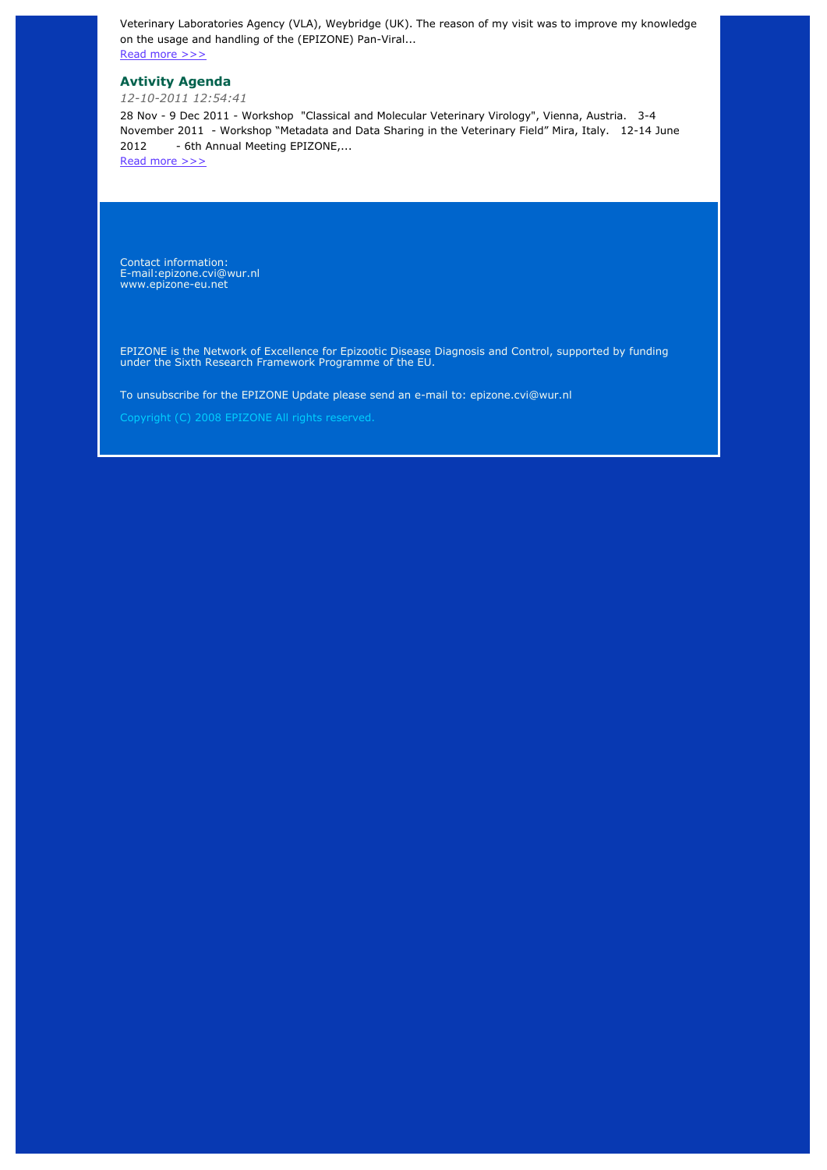Veterinary Laboratories Agency (VLA), Weybridge (UK). The reason of my visit was to improve my knowledge on the usage and handling of the (EPIZONE) Pan-Viral...

Read more >>>

# **Avtivity Agenda**

*12-10-2011 12:54:41*

28 Nov - 9 Dec 2011 - Workshop "Classical and Molecular Veterinary Virology", Vienna, Austria. 3-4 November 2011 - Workshop "Metadata and Data Sharing in the Veterinary Field" Mira, Italy. 12-14 June 2012 - 6th Annual Meeting EPIZONE....

Read more >>>

Contact information: E-mail:epizone.cvi@wur.nl www.epizone-eu.net

EPIZONE is the Network of Excellence for Epizootic Disease Diagnosis and Control, supported by funding under the Sixth Research Framework Programme of the EU.

To unsubscribe for the EPIZONE Update please send an e-mail to: epizone.cvi@wur.nl

Copyright (C) 2008 EPIZONE All rights reserved.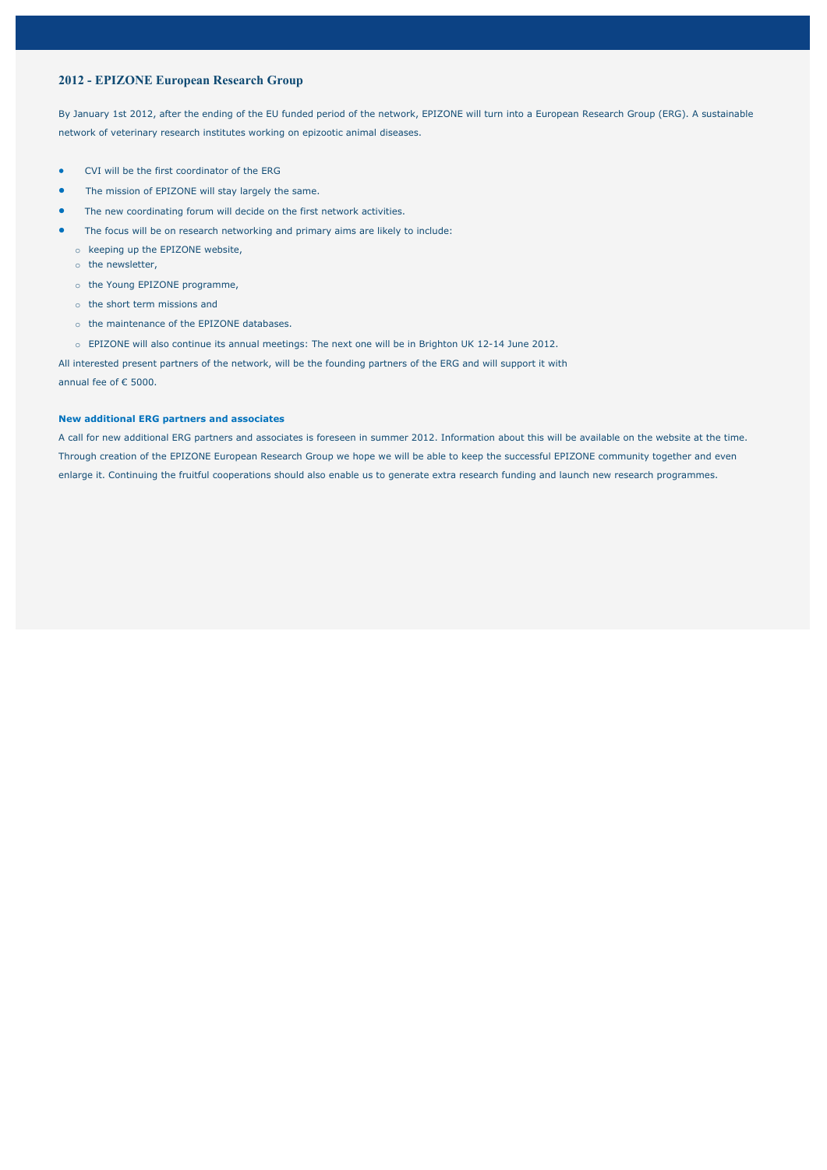### **2012 - EPIZONE European Research Group**

By January 1st 2012, after the ending of the EU funded period of the network, EPIZONE will turn into a European Research Group (ERG). A sustainable network of veterinary research institutes working on epizootic animal diseases.

- CVI will be the first coordinator of the ERG
- The mission of EPIZONE will stay largely the same.
- The new coordinating forum will decide on the first network activities.
- The focus will be on research networking and primary aims are likely to include:
	- o keeping up the EPIZONE website,
	- o the newsletter,
	- o the Young EPIZONE programme,
	- o the short term missions and
	- o the maintenance of the EPIZONE databases.
	- o EPIZONE will also continue its annual meetings: The next one will be in Brighton UK 12-14 June 2012.

All interested present partners of the network, will be the founding partners of the ERG and will support it with annual fee of € 5000.

#### **New additional ERG partners and associates**

A call for new additional ERG partners and associates is foreseen in summer 2012. Information about this will be available on the website at the time. Through creation of the EPIZONE European Research Group we hope we will be able to keep the successful EPIZONE community together and even enlarge it. Continuing the fruitful cooperations should also enable us to generate extra research funding and launch new research programmes.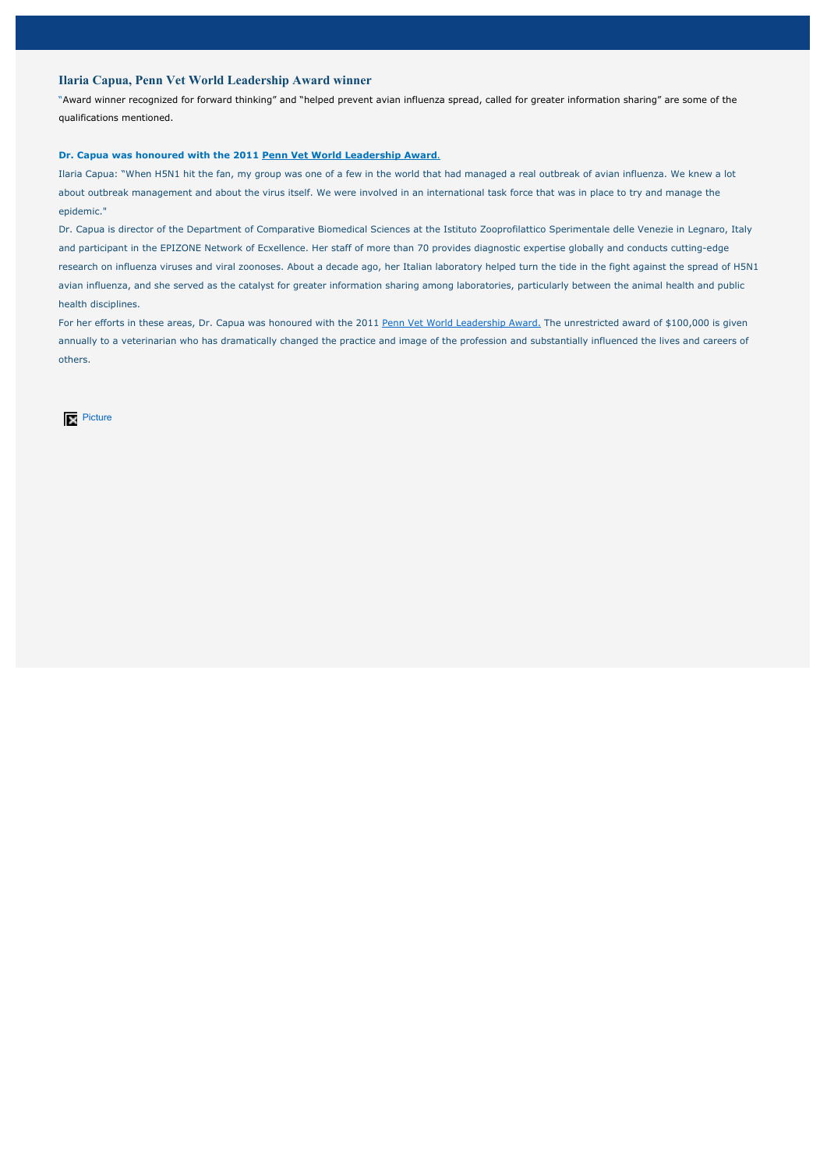## **Ilaria Capua, Penn Vet World Leadership Award winner**

"Award winner recognized for forward thinking" and "helped prevent avian influenza spread, called for greater information sharing" are some of the qualifications mentioned.

#### **Dr. Capua was honoured with the 2011 Penn Vet World Leadership Award**.

Ilaria Capua: "When H5N1 hit the fan, my group was one of a few in the world that had managed a real outbreak of avian influenza. We knew a lot about outbreak management and about the virus itself. We were involved in an international task force that was in place to try and manage the epidemic."

Dr. Capua is director of the Department of Comparative Biomedical Sciences at the Istituto Zooprofilattico Sperimentale delle Venezie in Legnaro, Italy and participant in the EPIZONE Network of Ecxellence. Her staff of more than 70 provides diagnostic expertise globally and conducts cutting-edge research on influenza viruses and viral zoonoses. About a decade ago, her Italian laboratory helped turn the tide in the fight against the spread of H5N1 avian influenza, and she served as the catalyst for greater information sharing among laboratories, particularly between the animal health and public health disciplines.

For her efforts in these areas, Dr. Capua was honoured with the 2011 Penn Vet World Leadership Award. The unrestricted award of \$100,000 is given annually to a veterinarian who has dramatically changed the practice and image of the profession and substantially influenced the lives and careers of others.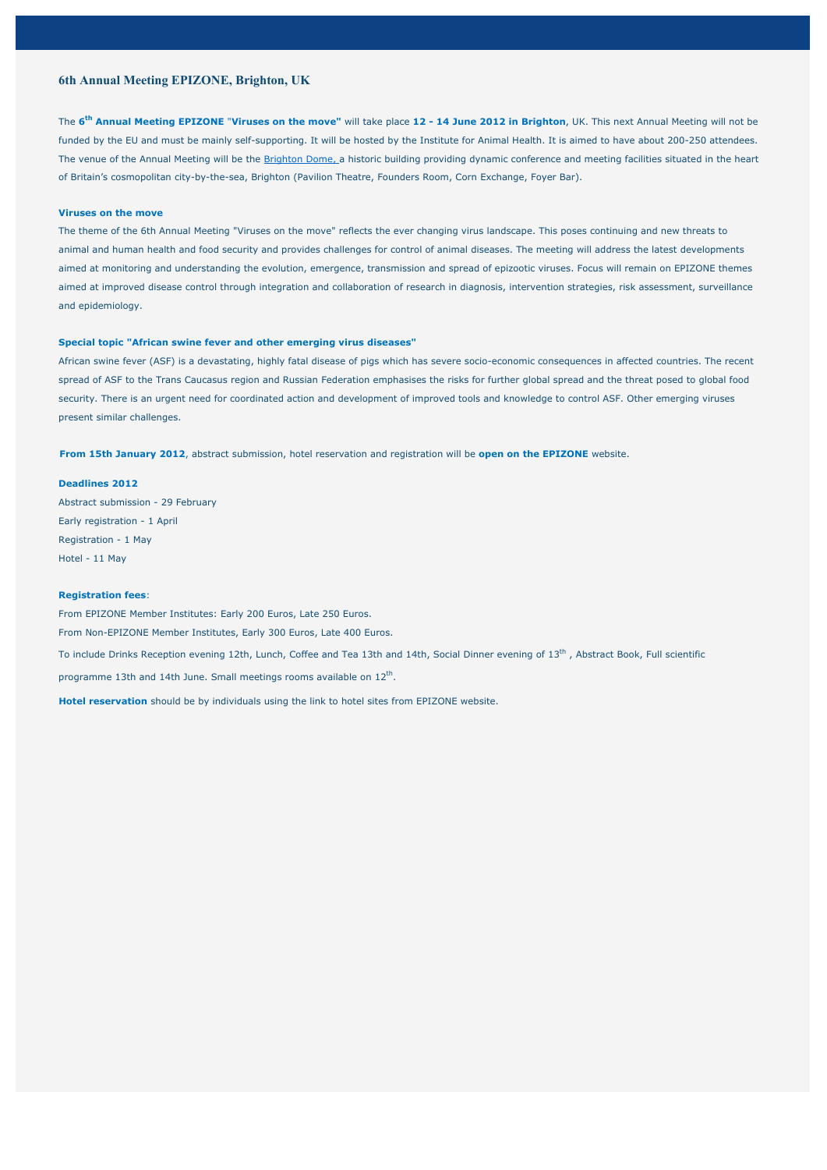## **6th Annual Meeting EPIZONE, Brighton, UK**

The **6th Annual Meeting EPIZONE** "**Viruses on the move"** will take place **12 - 14 June 2012 in Brighton**, UK. This next Annual Meeting will not be funded by the EU and must be mainly self-supporting. It will be hosted by the Institute for Animal Health. It is aimed to have about 200-250 attendees. The venue of the Annual Meeting will be the Brighton Dome, a historic building providing dynamic conference and meeting facilities situated in the heart of Britain's cosmopolitan city-by-the-sea, Brighton (Pavilion Theatre, Founders Room, Corn Exchange, Foyer Bar).

#### **Viruses on the move**

The theme of the 6th Annual Meeting "Viruses on the move" reflects the ever changing virus landscape. This poses continuing and new threats to animal and human health and food security and provides challenges for control of animal diseases. The meeting will address the latest developments aimed at monitoring and understanding the evolution, emergence, transmission and spread of epizootic viruses. Focus will remain on EPIZONE themes aimed at improved disease control through integration and collaboration of research in diagnosis, intervention strategies, risk assessment, surveillance and epidemiology.

#### **Special topic "African swine fever and other emerging virus diseases"**

African swine fever (ASF) is a devastating, highly fatal disease of pigs which has severe socio-economic consequences in affected countries. The recent spread of ASF to the Trans Caucasus region and Russian Federation emphasises the risks for further global spread and the threat posed to global food security. There is an urgent need for coordinated action and development of improved tools and knowledge to control ASF. Other emerging viruses present similar challenges.

**From 15th January 2012**, abstract submission, hotel reservation and registration will be **open on the EPIZONE** website.

**Deadlines 2012**

Abstract submission - 29 February Early registration - 1 April Registration - 1 May Hotel - 11 May

### **Registration fees**:

From EPIZONE Member Institutes: Early 200 Euros, Late 250 Euros.

From Non-EPIZONE Member Institutes, Early 300 Euros, Late 400 Euros.

To include Drinks Reception evening 12th, Lunch, Coffee and Tea 13th and 14th, Social Dinner evening of 13<sup>th</sup>, Abstract Book, Full scientific

programme 13th and 14th June. Small meetings rooms available on  $12<sup>th</sup>$ .

**Hotel reservation** should be by individuals using the link to hotel sites from EPIZONE website.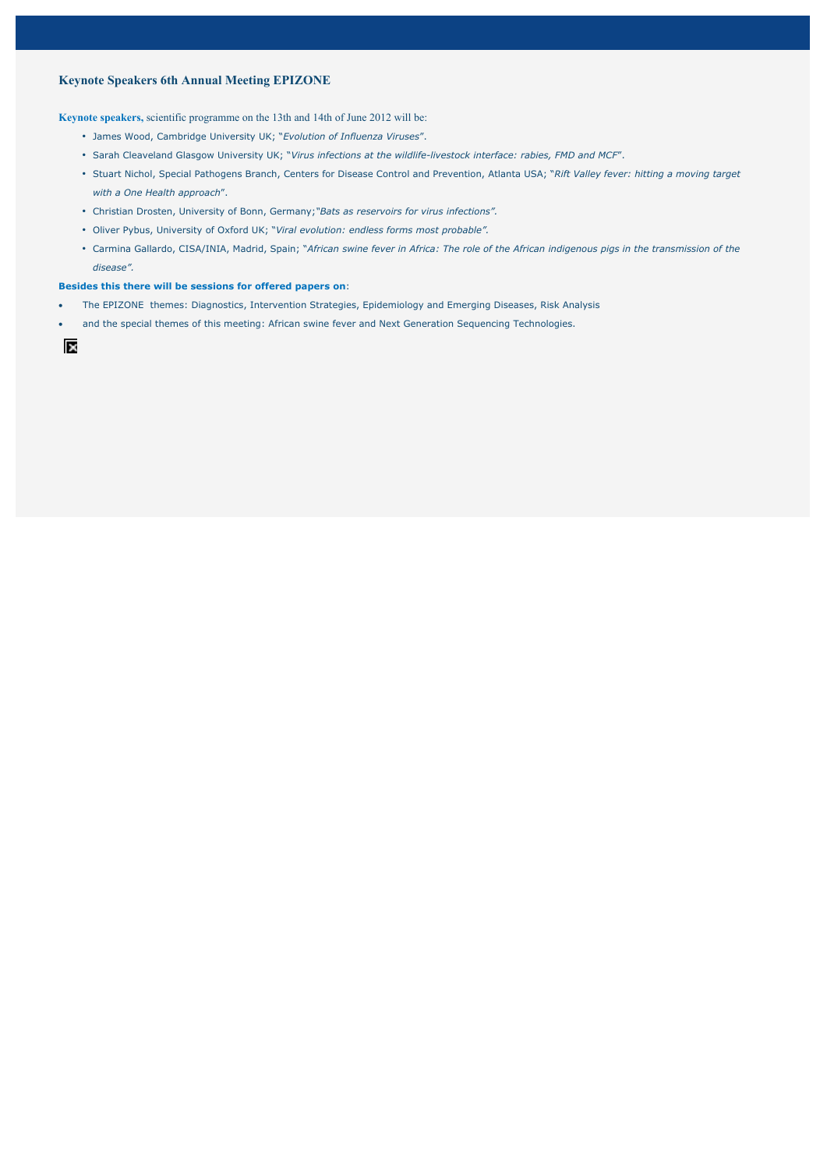## **Keynote Speakers 6th Annual Meeting EPIZONE**

**Keynote speakers,** scientific programme on the 13th and 14th of June 2012 will be:

- James Wood, Cambridge University UK; "*Evolution of Influenza Viruses*".
- Sarah Cleaveland Glasgow University UK; "*Virus infections at the wildlife-livestock interface: rabies, FMD and MCF*".
- Stuart Nichol, Special Pathogens Branch, Centers for Disease Control and Prevention, Atlanta USA; "*Rift Valley fever: hitting a moving target with a One Health approach*".
- Christian Drosten, University of Bonn, Germany;*"Bats as reservoirs for virus infections".*
- Oliver Pybus, University of Oxford UK; "*Viral evolution: endless forms most probable".*
- Carmina Gallardo, CISA/INIA, Madrid, Spain; "*African swine fever in Africa: The role of the African indigenous pigs in the transmission of the disease".*

#### **Besides this there will be sessions for offered papers on**:

- The EPIZONE themes: Diagnostics, Intervention Strategies, Epidemiology and Emerging Diseases, Risk Analysis
- and the special themes of this meeting: African swine fever and Next Generation Sequencing Technologies.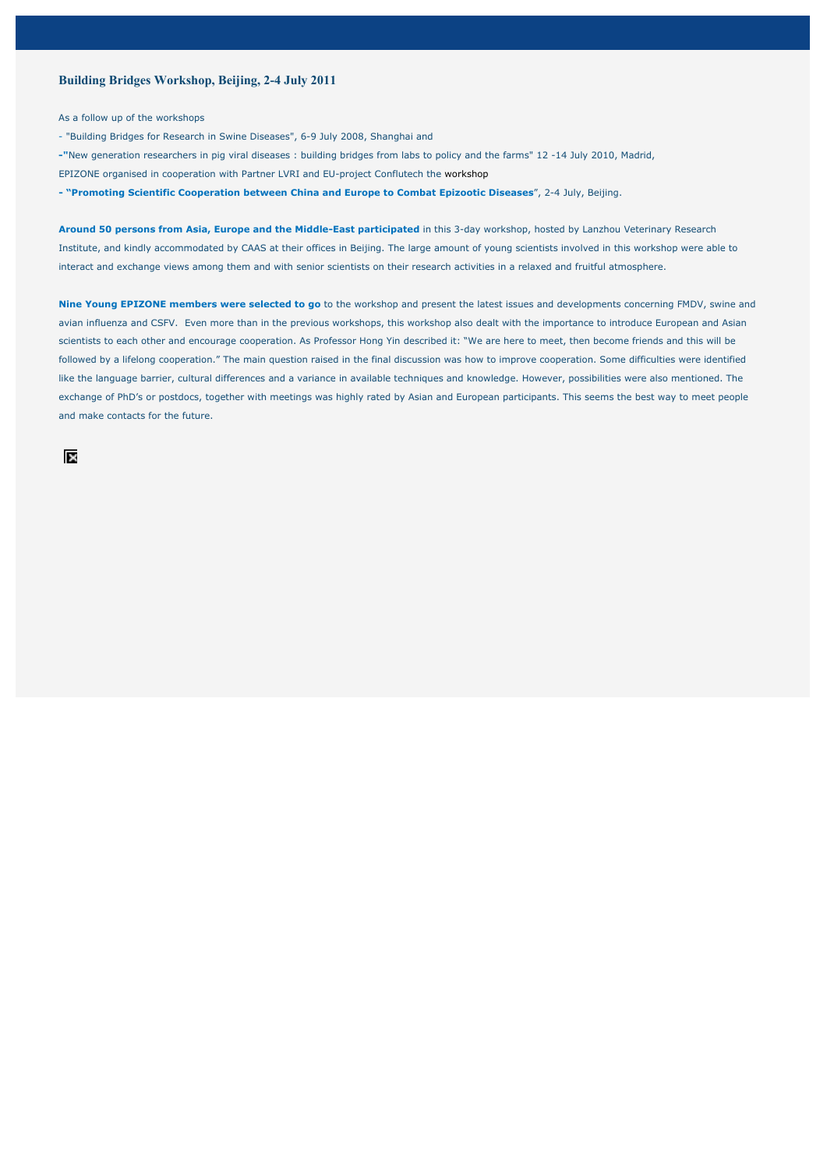### **Building Bridges Workshop, Beijing, 2-4 July 2011**

As a follow up of the workshops

- "Building Bridges for Research in Swine Diseases", 6-9 July 2008, Shanghai and
- **-"**New generation researchers in pig viral diseases : building bridges from labs to policy and the farms" 12 -14 July 2010, Madrid, EPIZONE organised in cooperation with Partner LVRI and EU-project Conflutech the workshop
- **"Promoting Scientific Cooperation between China and Europe to Combat Epizootic Diseases**", 2-4 July, Beijing.

**Around 50 persons from Asia, Europe and the Middle-East participated** in this 3-day workshop, hosted by Lanzhou Veterinary Research Institute, and kindly accommodated by CAAS at their offices in Beijing. The large amount of young scientists involved in this workshop were able to interact and exchange views among them and with senior scientists on their research activities in a relaxed and fruitful atmosphere.

**Nine Young EPIZONE members were selected to go** to the workshop and present the latest issues and developments concerning FMDV, swine and avian influenza and CSFV. Even more than in the previous workshops, this workshop also dealt with the importance to introduce European and Asian scientists to each other and encourage cooperation. As Professor Hong Yin described it: "We are here to meet, then become friends and this will be followed by a lifelong cooperation." The main question raised in the final discussion was how to improve cooperation. Some difficulties were identified like the language barrier, cultural differences and a variance in available techniques and knowledge. However, possibilities were also mentioned. The exchange of PhD's or postdocs, together with meetings was highly rated by Asian and European participants. This seems the best way to meet people and make contacts for the future.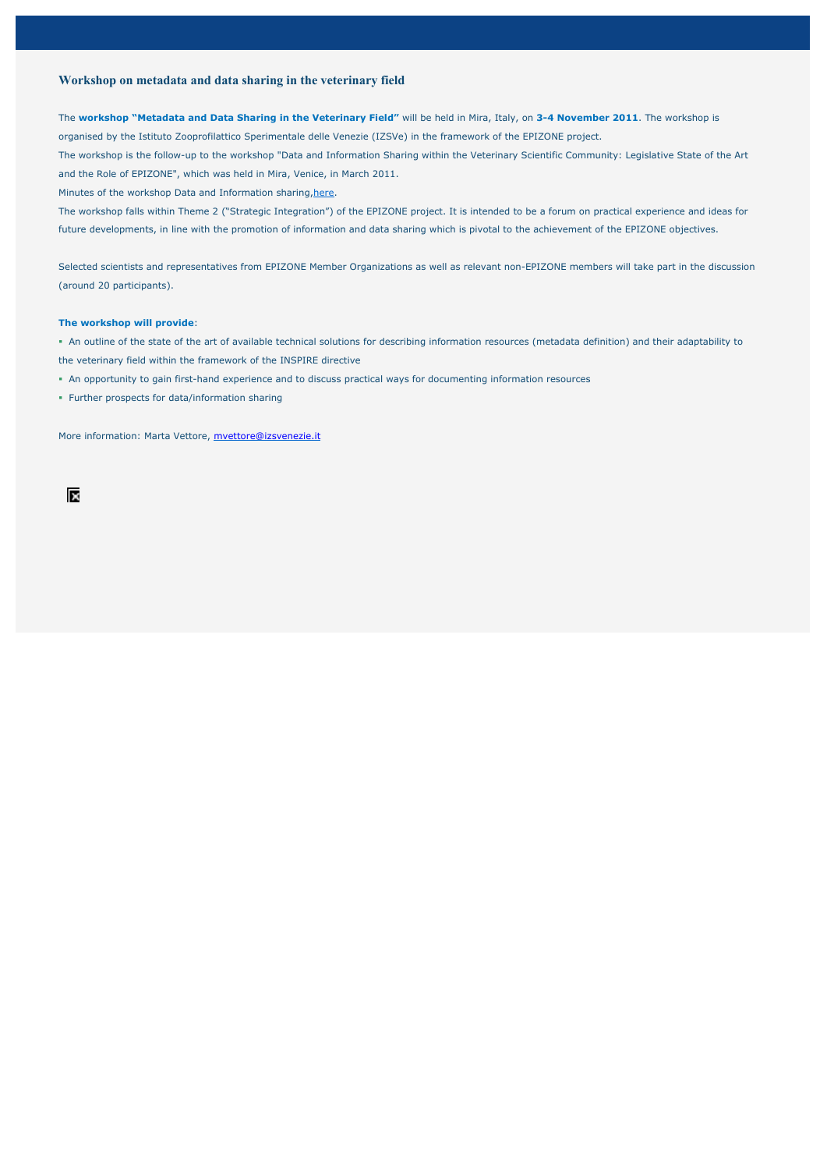### **Workshop on metadata and data sharing in the veterinary field**

The **workshop "Metadata and Data Sharing in the Veterinary Field"** will be held in Mira, Italy, on **3-4 November 2011**. The workshop is organised by the Istituto Zooprofilattico Sperimentale delle Venezie (IZSVe) in the framework of the EPIZONE project. The workshop is the follow-up to the workshop "Data and Information Sharing within the Veterinary Scientific Community: Legislative State of the Art and the Role of EPIZONE", which was held in Mira, Venice, in March 2011.

Minutes of the workshop Data and Information sharing, here.

The workshop falls within Theme 2 ("Strategic Integration") of the EPIZONE project. It is intended to be a forum on practical experience and ideas for future developments, in line with the promotion of information and data sharing which is pivotal to the achievement of the EPIZONE objectives.

Selected scientists and representatives from EPIZONE Member Organizations as well as relevant non-EPIZONE members will take part in the discussion (around 20 participants).

#### **The workshop will provide**:

- An outline of the state of the art of available technical solutions for describing information resources (metadata definition) and their adaptability to the veterinary field within the framework of the INSPIRE directive
- An opportunity to gain first-hand experience and to discuss practical ways for documenting information resources
- Further prospects for data/information sharing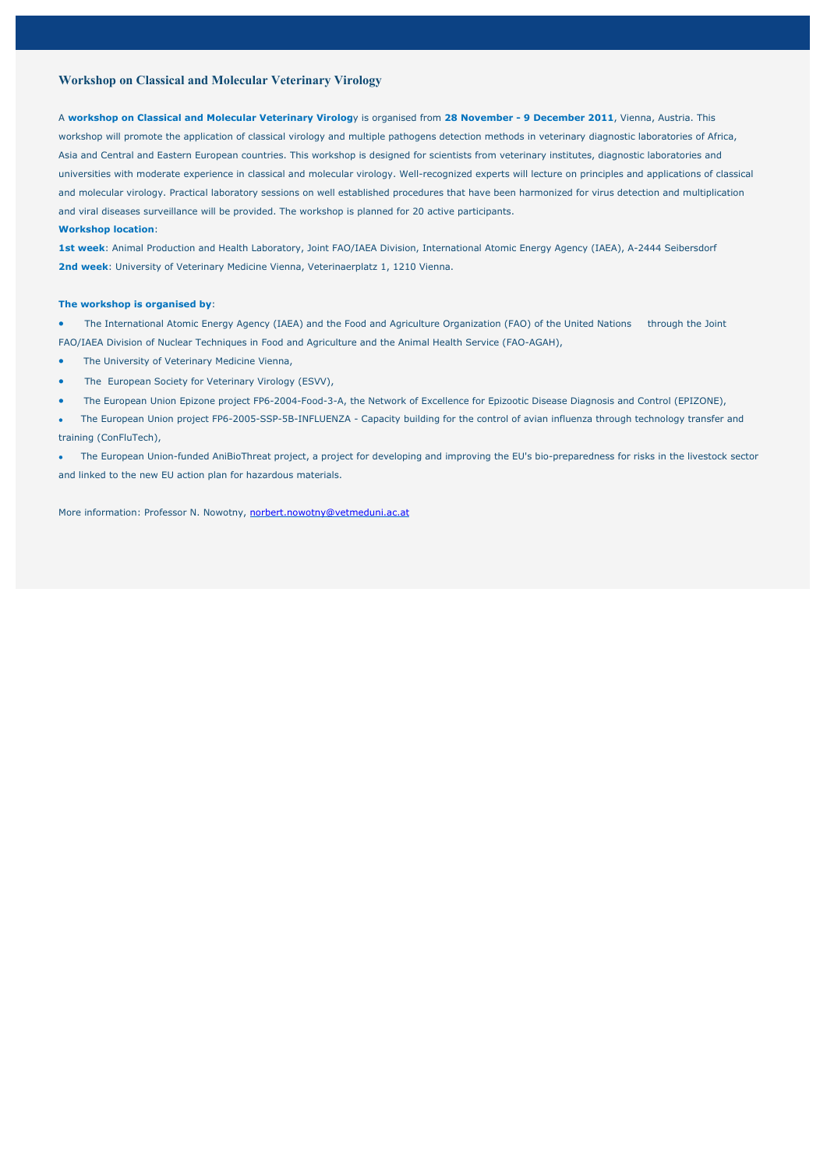### **Workshop on Classical and Molecular Veterinary Virology**

A **workshop on Classical and Molecular Veterinary Virolog**y is organised from **28 November - 9 December 2011**, Vienna, Austria. This workshop will promote the application of classical virology and multiple pathogens detection methods in veterinary diagnostic laboratories of Africa, Asia and Central and Eastern European countries. This workshop is designed for scientists from veterinary institutes, diagnostic laboratories and universities with moderate experience in classical and molecular virology. Well-recognized experts will lecture on principles and applications of classical and molecular virology. Practical laboratory sessions on well established procedures that have been harmonized for virus detection and multiplication and viral diseases surveillance will be provided. The workshop is planned for 20 active participants.

#### **Workshop location**:

**1st week**: Animal Production and Health Laboratory, Joint FAO/IAEA Division, International Atomic Energy Agency (IAEA), A-2444 Seibersdorf **2nd week**: University of Veterinary Medicine Vienna, Veterinaerplatz 1, 1210 Vienna.

### **The workshop is organised by**:

- The International Atomic Energy Agency (IAEA) and the Food and Agriculture Organization (FAO) of the United Nations through the Joint FAO/IAEA Division of Nuclear Techniques in Food and Agriculture and the Animal Health Service (FAO-AGAH),
- The University of Veterinary Medicine Vienna,
- The European Society for Veterinary Virology (ESVV),
- The European Union Epizone project FP6-2004-Food-3-A, the Network of Excellence for Epizootic Disease Diagnosis and Control (EPIZONE),
- The European Union project FP6-2005-SSP-5B-INFLUENZA Capacity building for the control of avian influenza through technology transfer and training (ConFluTech),
- The European Union-funded AniBioThreat project, a project for developing and improving the EU's bio-preparedness for risks in the livestock sector and linked to the new EU action plan for hazardous materials.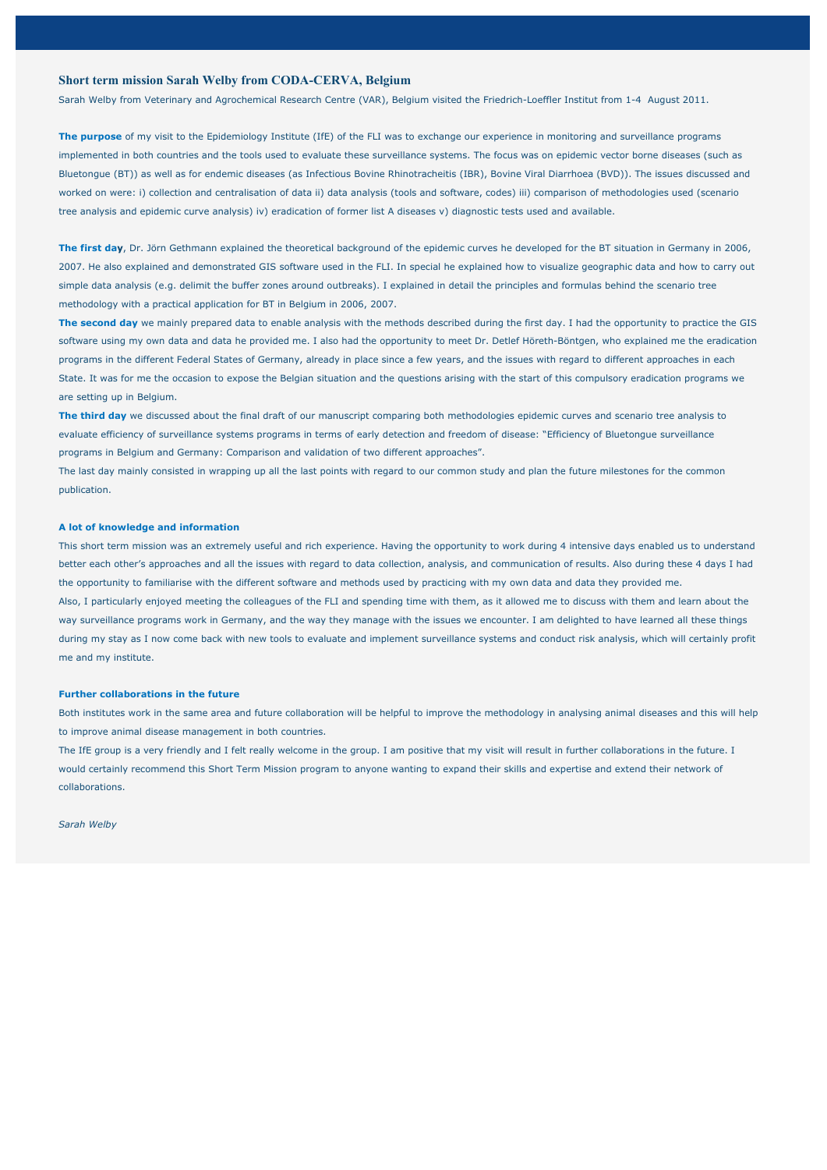### **Short term mission Sarah Welby from CODA-CERVA, Belgium**

Sarah Welby from Veterinary and Agrochemical Research Centre (VAR), Belgium visited the Friedrich-Loeffler Institut from 1-4 August 2011.

**The purpose** of my visit to the Epidemiology Institute (IfE) of the FLI was to exchange our experience in monitoring and surveillance programs implemented in both countries and the tools used to evaluate these surveillance systems. The focus was on epidemic vector borne diseases (such as Bluetongue (BT)) as well as for endemic diseases (as Infectious Bovine Rhinotracheitis (IBR), Bovine Viral Diarrhoea (BVD)). The issues discussed and worked on were: i) collection and centralisation of data ii) data analysis (tools and software, codes) iii) comparison of methodologies used (scenario tree analysis and epidemic curve analysis) iv) eradication of former list A diseases v) diagnostic tests used and available.

**The first day**, Dr. Jörn Gethmann explained the theoretical background of the epidemic curves he developed for the BT situation in Germany in 2006, 2007. He also explained and demonstrated GIS software used in the FLI. In special he explained how to visualize geographic data and how to carry out simple data analysis (e.g. delimit the buffer zones around outbreaks). I explained in detail the principles and formulas behind the scenario tree methodology with a practical application for BT in Belgium in 2006, 2007.

**The second day** we mainly prepared data to enable analysis with the methods described during the first day. I had the opportunity to practice the GIS software using my own data and data he provided me. I also had the opportunity to meet Dr. Detlef Höreth-Böntgen, who explained me the eradication programs in the different Federal States of Germany, already in place since a few years, and the issues with regard to different approaches in each State. It was for me the occasion to expose the Belgian situation and the questions arising with the start of this compulsory eradication programs we are setting up in Belgium.

**The third day** we discussed about the final draft of our manuscript comparing both methodologies epidemic curves and scenario tree analysis to evaluate efficiency of surveillance systems programs in terms of early detection and freedom of disease: "Efficiency of Bluetongue surveillance programs in Belgium and Germany: Comparison and validation of two different approaches".

The last day mainly consisted in wrapping up all the last points with regard to our common study and plan the future milestones for the common publication.

#### **A lot of knowledge and information**

This short term mission was an extremely useful and rich experience. Having the opportunity to work during 4 intensive days enabled us to understand better each other's approaches and all the issues with regard to data collection, analysis, and communication of results. Also during these 4 days I had the opportunity to familiarise with the different software and methods used by practicing with my own data and data they provided me. Also, I particularly enjoyed meeting the colleagues of the FLI and spending time with them, as it allowed me to discuss with them and learn about the

way surveillance programs work in Germany, and the way they manage with the issues we encounter. I am delighted to have learned all these things during my stay as I now come back with new tools to evaluate and implement surveillance systems and conduct risk analysis, which will certainly profit me and my institute.

#### **Further collaborations in the future**

Both institutes work in the same area and future collaboration will be helpful to improve the methodology in analysing animal diseases and this will help to improve animal disease management in both countries.

The IfE group is a very friendly and I felt really welcome in the group. I am positive that my visit will result in further collaborations in the future. I would certainly recommend this Short Term Mission program to anyone wanting to expand their skills and expertise and extend their network of collaborations.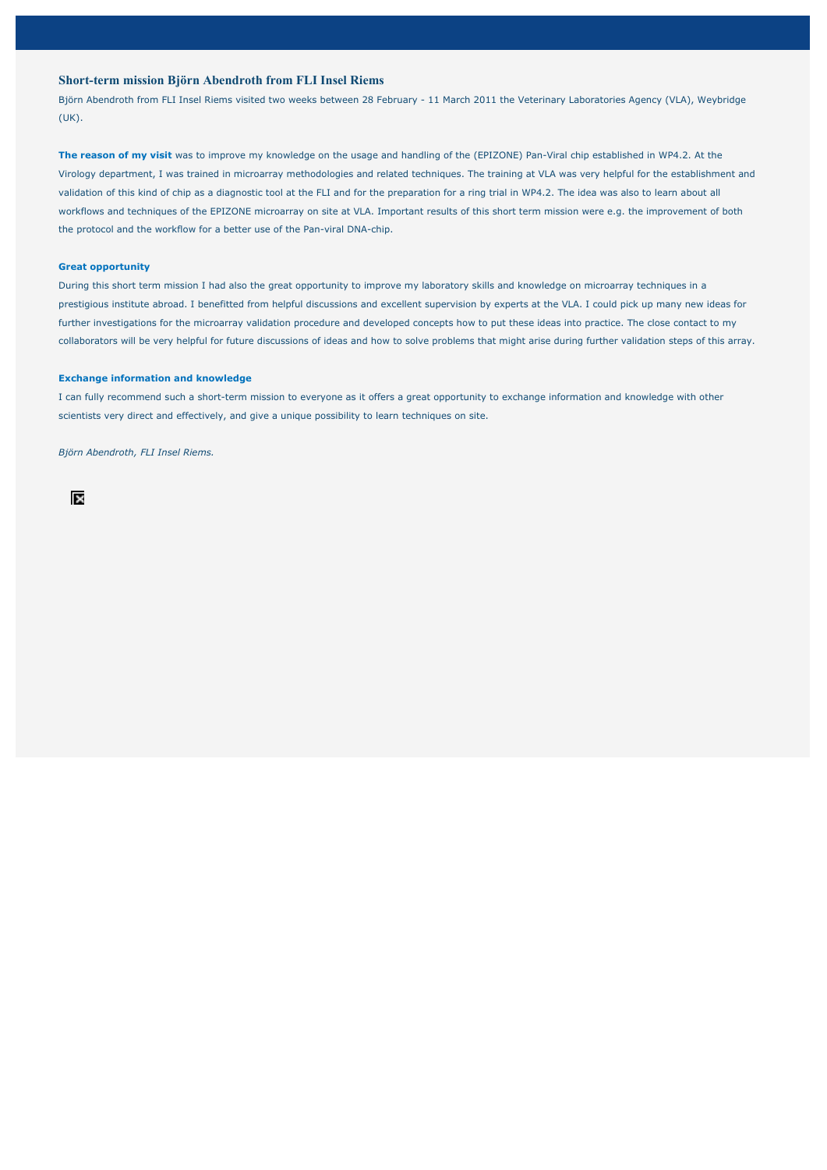### **Short-term mission Björn Abendroth from FLI Insel Riems**

Björn Abendroth from FLI Insel Riems visited two weeks between 28 February - 11 March 2011 the Veterinary Laboratories Agency (VLA), Weybridge (UK).

**The reason of my visit** was to improve my knowledge on the usage and handling of the (EPIZONE) Pan-Viral chip established in WP4.2. At the Virology department, I was trained in microarray methodologies and related techniques. The training at VLA was very helpful for the establishment and validation of this kind of chip as a diagnostic tool at the FLI and for the preparation for a ring trial in WP4.2. The idea was also to learn about all workflows and techniques of the EPIZONE microarray on site at VLA. Important results of this short term mission were e.g. the improvement of both the protocol and the workflow for a better use of the Pan-viral DNA-chip.

#### **Great opportunity**

During this short term mission I had also the great opportunity to improve my laboratory skills and knowledge on microarray techniques in a prestigious institute abroad. I benefitted from helpful discussions and excellent supervision by experts at the VLA. I could pick up many new ideas for further investigations for the microarray validation procedure and developed concepts how to put these ideas into practice. The close contact to my collaborators will be very helpful for future discussions of ideas and how to solve problems that might arise during further validation steps of this array.

### **Exchange information and knowledge**

I can fully recommend such a short-term mission to everyone as it offers a great opportunity to exchange information and knowledge with other scientists very direct and effectively, and give a unique possibility to learn techniques on site.